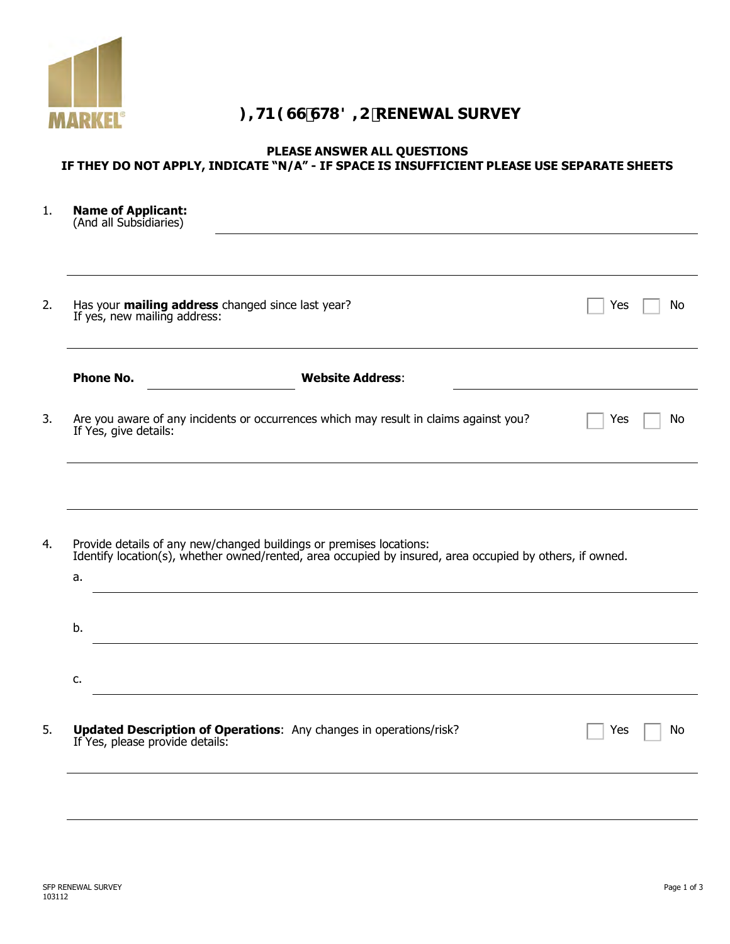

## **),71(66678',2RENEWAL SURVEY**

## **PLEASE ANSWER ALL QUESTIONS IF THEY DO NOT APPLY, INDICATE "N/A" - IF SPACE IS INSUFFICIENT PLEASE USE SEPARATE SHEETS**

| <b>Name of Applicant:</b><br>(And all Subsidiaries) |                                                                                                                                                                                 |     |  |
|-----------------------------------------------------|---------------------------------------------------------------------------------------------------------------------------------------------------------------------------------|-----|--|
|                                                     |                                                                                                                                                                                 |     |  |
| If yes, new mailing address:                        | Has your mailing address changed since last year?                                                                                                                               | Yes |  |
| <b>Phone No.</b>                                    | <b>Website Address:</b>                                                                                                                                                         |     |  |
| If Yes, give details:                               | Are you aware of any incidents or occurrences which may result in claims against you?                                                                                           | Yes |  |
|                                                     |                                                                                                                                                                                 |     |  |
|                                                     |                                                                                                                                                                                 |     |  |
|                                                     | Provide details of any new/changed buildings or premises locations:<br>Identify location(s), whether owned/rented, area occupied by insured, area occupied by others, if owned. |     |  |
|                                                     |                                                                                                                                                                                 |     |  |
| a.<br>b.<br>c.                                      |                                                                                                                                                                                 |     |  |
|                                                     | <b>Updated Description of Operations:</b> Any changes in operations/risk?                                                                                                       | Yes |  |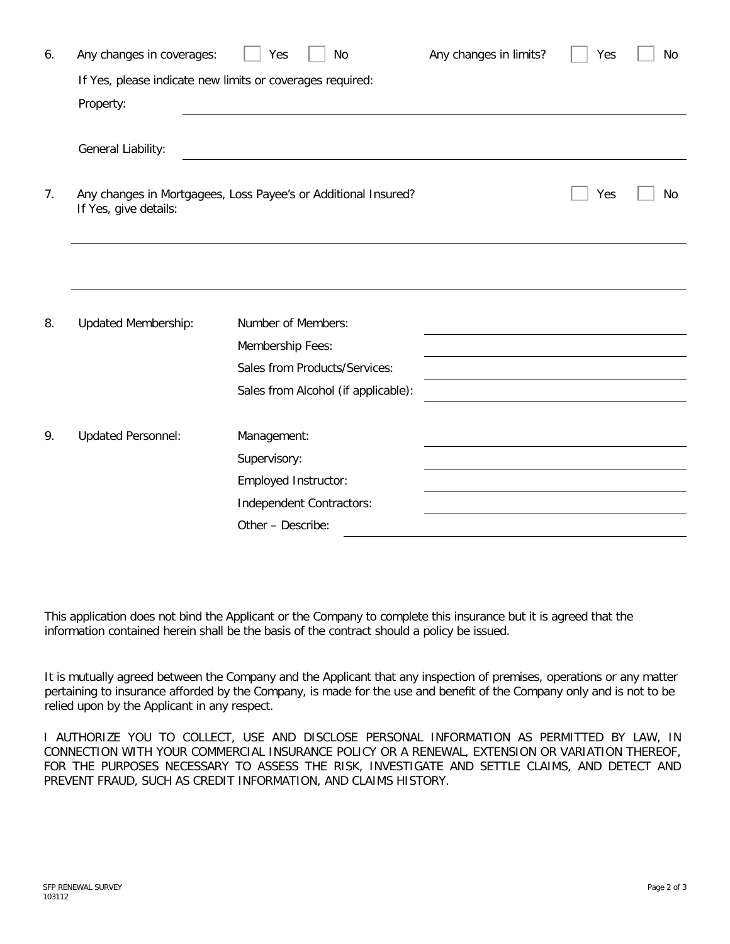| 6. | Any changes in coverages:                                                               | No<br>Yes                           | Any changes in limits? | Yes | <b>No</b> |  |  |  |
|----|-----------------------------------------------------------------------------------------|-------------------------------------|------------------------|-----|-----------|--|--|--|
|    | If Yes, please indicate new limits or coverages required:                               |                                     |                        |     |           |  |  |  |
|    | Property:                                                                               |                                     |                        |     |           |  |  |  |
|    |                                                                                         |                                     |                        |     |           |  |  |  |
|    | General Liability:                                                                      |                                     |                        |     |           |  |  |  |
|    |                                                                                         |                                     |                        |     |           |  |  |  |
| 7. | Any changes in Mortgagees, Loss Payee's or Additional Insured?<br>If Yes, give details: |                                     | Yes                    | No  |           |  |  |  |
|    |                                                                                         |                                     |                        |     |           |  |  |  |
|    |                                                                                         |                                     |                        |     |           |  |  |  |
|    |                                                                                         |                                     |                        |     |           |  |  |  |
|    |                                                                                         |                                     |                        |     |           |  |  |  |
| 8. | <b>Updated Membership:</b>                                                              | Number of Members:                  |                        |     |           |  |  |  |
|    |                                                                                         | Membership Fees:                    |                        |     |           |  |  |  |
|    |                                                                                         | Sales from Products/Services:       |                        |     |           |  |  |  |
|    |                                                                                         | Sales from Alcohol (if applicable): |                        |     |           |  |  |  |
|    |                                                                                         |                                     |                        |     |           |  |  |  |
| 9. | <b>Updated Personnel:</b>                                                               | Management:                         |                        |     |           |  |  |  |
|    |                                                                                         | Supervisory:                        |                        |     |           |  |  |  |
|    |                                                                                         | Employed Instructor:                |                        |     |           |  |  |  |
|    |                                                                                         | Independent Contractors:            |                        |     |           |  |  |  |
|    |                                                                                         | Other - Describe:                   |                        |     |           |  |  |  |

This application does not bind the Applicant or the Company to complete this insurance but it is agreed that the information contained herein shall be the basis of the contract should a policy be issued.

It is mutually agreed between the Company and the Applicant that any inspection of premises, operations or any matter pertaining to insurance afforded by the Company, is made for the use and benefit of the Company only and is not to be relied upon by the Applicant in any respect.

I AUTHORIZE YOU TO COLLECT, USE AND DISCLOSE PERSONAL INFORMATION AS PERMITTED BY LAW, IN CONNECTION WITH YOUR COMMERCIAL INSURANCE POLICY OR A RENEWAL, EXTENSION OR VARIATION THEREOF, FOR THE PURPOSES NECESSARY TO ASSESS THE RISK, INVESTIGATE AND SETTLE CLAIMS, AND DETECT AND PREVENT FRAUD, SUCH AS CREDIT INFORMATION, AND CLAIMS HISTORY.